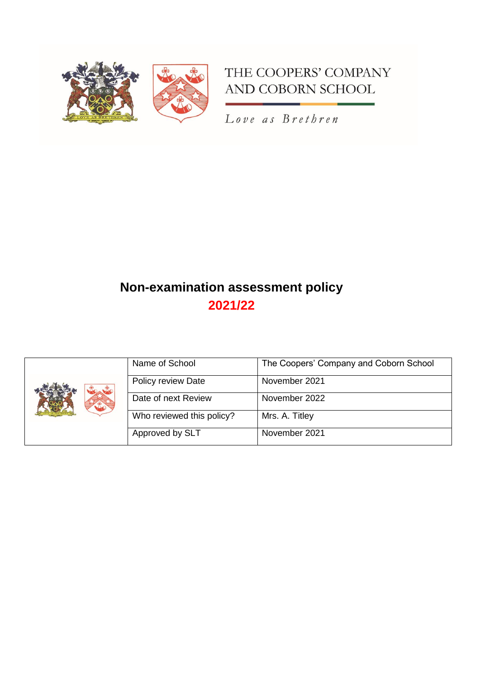

# THE COOPERS' COMPANY AND COBORN SCHOOL

Love as Brethren

# **Non-examination assessment policy 2021/22**

| $x^*$ | Name of School            | The Coopers' Company and Coborn School |
|-------|---------------------------|----------------------------------------|
|       | Policy review Date        | November 2021                          |
|       | Date of next Review       | November 2022                          |
|       | Who reviewed this policy? | Mrs. A. Titley                         |
|       | Approved by SLT           | November 2021                          |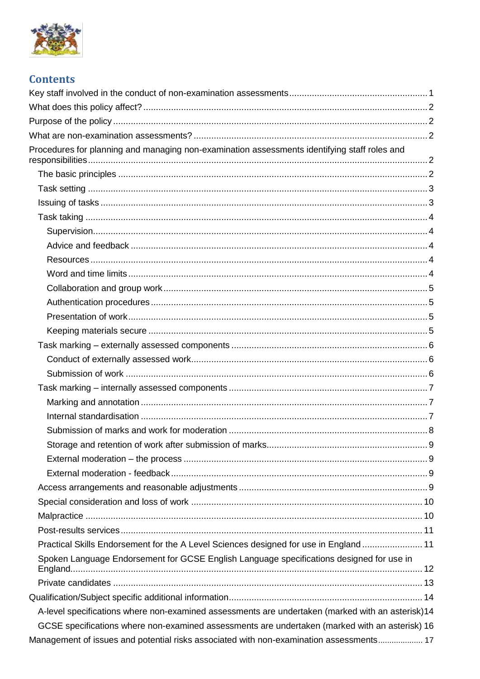

# **Contents**

| Procedures for planning and managing non-examination assessments identifying staff roles and     |  |
|--------------------------------------------------------------------------------------------------|--|
|                                                                                                  |  |
|                                                                                                  |  |
|                                                                                                  |  |
|                                                                                                  |  |
|                                                                                                  |  |
|                                                                                                  |  |
|                                                                                                  |  |
|                                                                                                  |  |
|                                                                                                  |  |
|                                                                                                  |  |
|                                                                                                  |  |
|                                                                                                  |  |
|                                                                                                  |  |
|                                                                                                  |  |
|                                                                                                  |  |
|                                                                                                  |  |
|                                                                                                  |  |
|                                                                                                  |  |
|                                                                                                  |  |
|                                                                                                  |  |
|                                                                                                  |  |
|                                                                                                  |  |
|                                                                                                  |  |
|                                                                                                  |  |
|                                                                                                  |  |
|                                                                                                  |  |
| Practical Skills Endorsement for the A Level Sciences designed for use in England 11             |  |
| Spoken Language Endorsement for GCSE English Language specifications designed for use in         |  |
|                                                                                                  |  |
|                                                                                                  |  |
| A-level specifications where non-examined assessments are undertaken (marked with an asterisk)14 |  |
| GCSE specifications where non-examined assessments are undertaken (marked with an asterisk) 16   |  |
| Management of issues and potential risks associated with non-examination assessments 17          |  |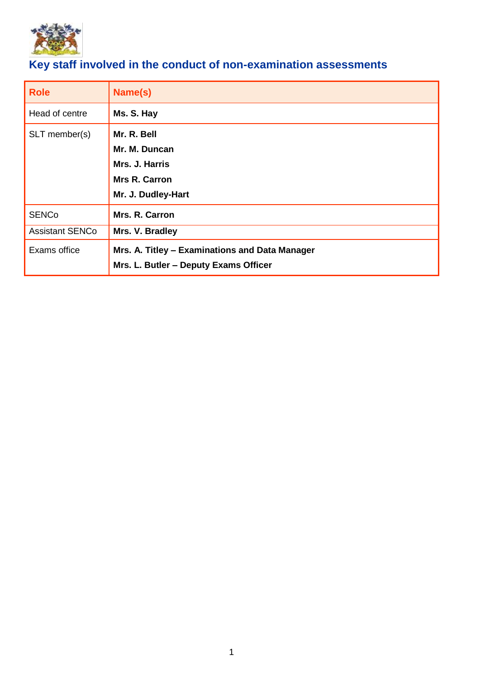

# <span id="page-2-0"></span>**Key staff involved in the conduct of non-examination assessments**

| <b>Role</b>            | Name(s)                                                                                 |
|------------------------|-----------------------------------------------------------------------------------------|
| Head of centre         | Ms. S. Hay                                                                              |
| SLT member(s)          | Mr. R. Bell<br>Mr. M. Duncan<br>Mrs. J. Harris<br><b>Mrs R. Carron</b>                  |
|                        | Mr. J. Dudley-Hart                                                                      |
| <b>SENCo</b>           | Mrs. R. Carron                                                                          |
| <b>Assistant SENCo</b> | Mrs. V. Bradley                                                                         |
| Exams office           | Mrs. A. Titley - Examinations and Data Manager<br>Mrs. L. Butler – Deputy Exams Officer |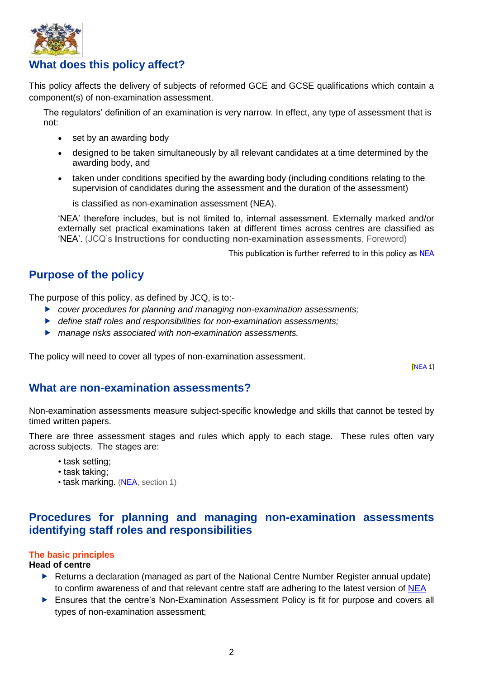

# <span id="page-3-0"></span>**What does this policy affect?**

This policy affects the delivery of subjects of reformed GCE and GCSE qualifications which contain a component(s) of non-examination assessment.

The regulators' definition of an examination is very narrow. In effect, any type of assessment that is not:

- set by an awarding body
- designed to be taken simultaneously by all relevant candidates at a time determined by the awarding body, and
- taken under conditions specified by the awarding body (including conditions relating to the supervision of candidates during the assessment and the duration of the assessment)

is classified as non-examination assessment (NEA).

'NEA' therefore includes, but is not limited to, internal assessment. Externally marked and/or externally set practical examinations taken at different times across centres are classified as 'NEA'. (JCQ's **Instructions for conducting non-examination assessments**, Foreword)

This publication is further referred to in this policy as [NEA](http://www.jcq.org.uk/exams-office/non-examination-assessments)

# <span id="page-3-1"></span>**Purpose of the policy**

The purpose of this policy, as defined by JCQ, is to:-

- *cover procedures for planning and managing non-examination assessments;*
- *define staff roles and responsibilities for non-examination assessments;*
- *manage risks associated with non-examination assessments.*

The policy will need to cover all types of non-examination assessment.

[\[NEA](http://www.jcq.org.uk/exams-office/non-examination-assessments) 1]

## <span id="page-3-2"></span>**What are non-examination assessments?**

Non-examination assessments measure subject-specific knowledge and skills that cannot be tested by timed written papers.

There are three assessment stages and rules which apply to each stage. These rules often vary across subjects. The stages are:

- task setting;
- task taking;
- task marking. [\(NEA,](http://www.jcq.org.uk/exams-office/non-examination-assessments) section 1)

# <span id="page-3-3"></span>**Procedures for planning and managing non-examination assessments identifying staff roles and responsibilities**

#### <span id="page-3-4"></span>**The basic principles**

#### **Head of centre**

- ▶ Returns a declaration (managed as part of the National Centre Number Register annual update) to confirm awareness of and that relevant centre staff are adhering to the latest version of [NEA](http://www.jcq.org.uk/exams-office/non-examination-assessments)
- **Ensures that the centre's Non-Examination Assessment Policy is fit for purpose and covers all** types of non-examination assessment;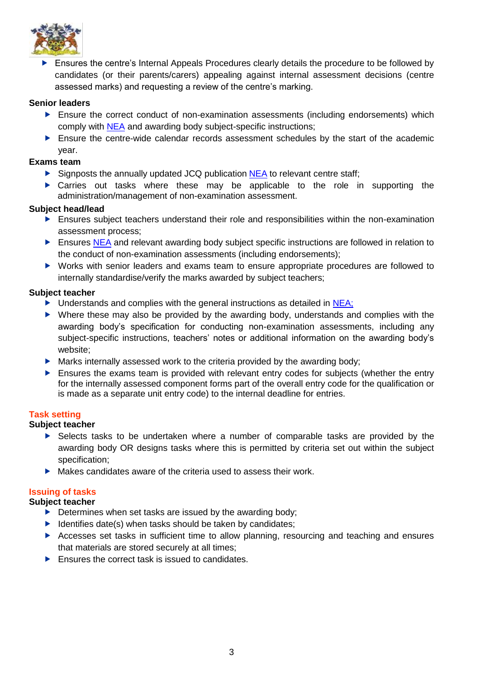

**E** Ensures the centre's Internal Appeals Procedures clearly details the procedure to be followed by candidates (or their parents/carers) appealing against internal assessment decisions (centre assessed marks) and requesting a review of the centre's marking.

#### **Senior leaders**

- Ensure the correct conduct of non-examination assessments (including endorsements) which comply with [NEA](http://www.jcq.org.uk/exams-office/non-examination-assessments) and awarding body subject-specific instructions;
- Ensure the centre-wide calendar records assessment schedules by the start of the academic year.

#### **Exams team**

- ▶ Signposts the annually updated JCQ publication [NEA](http://www.jcq.org.uk/exams-office/non-examination-assessments) to relevant centre staff:
- Carries out tasks where these may be applicable to the role in supporting the administration/management of non-examination assessment.

#### **Subject head/lead**

- Ensures subject teachers understand their role and responsibilities within the non-examination assessment process;
- Ensures [NEA](http://www.jcq.org.uk/exams-office/non-examination-assessments) and relevant awarding body subject specific instructions are followed in relation to the conduct of non-examination assessments (including endorsements);
- Works with senior leaders and exams team to ensure appropriate procedures are followed to internally standardise/verify the marks awarded by subject teachers;

#### **Subject teacher**

- $\triangleright$  Understands and complies with the general instructions as detailed in [NEA;](http://www.jcq.org.uk/exams-office/non-examination-assessments)
- Where these may also be provided by the awarding body, understands and complies with the awarding body's specification for conducting non-examination assessments, including any subject-specific instructions, teachers' notes or additional information on the awarding body's website;
- $\blacktriangleright$  Marks internally assessed work to the criteria provided by the awarding body;
- Ensures the exams team is provided with relevant entry codes for subjects (whether the entry for the internally assessed component forms part of the overall entry code for the qualification or is made as a separate unit entry code) to the internal deadline for entries.

#### <span id="page-4-0"></span>**Task setting**

#### **Subject teacher**

- Selects tasks to be undertaken where a number of comparable tasks are provided by the awarding body OR designs tasks where this is permitted by criteria set out within the subject specification;
- $\blacktriangleright$  Makes candidates aware of the criteria used to assess their work.

## <span id="page-4-1"></span>**Issuing of tasks**

#### **Subject teacher**

- $\triangleright$  Determines when set tasks are issued by the awarding body;
- $\blacktriangleright$  Identifies date(s) when tasks should be taken by candidates;
- Accesses set tasks in sufficient time to allow planning, resourcing and teaching and ensures that materials are stored securely at all times;
- $\blacktriangleright$  Ensures the correct task is issued to candidates.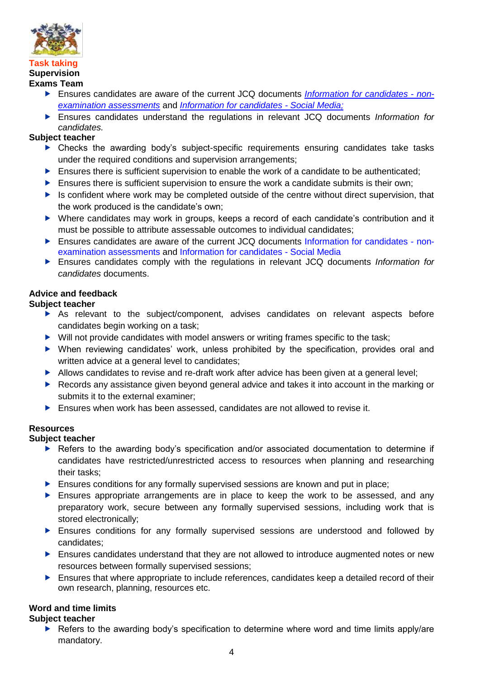

#### <span id="page-5-1"></span><span id="page-5-0"></span>**Task taking Supervision Exams Team**

- Ensures candidates are aware of the current JCQ documents *[Information for candidates -](http://www.jcq.org.uk/exams-office/information-for-candidates-documents) non[examination assessments](http://www.jcq.org.uk/exams-office/information-for-candidates-documents)* and *[Information for candidates -](http://www.jcq.org.uk/exams-office/information-for-candidates-documents) Social Media;*
- Ensures candidates understand the regulations in relevant JCQ documents *Information for candidates.*

## **Subject teacher**

- Checks the awarding body's subject-specific requirements ensuring candidates take tasks under the required conditions and supervision arrangements;
- Ensures there is sufficient supervision to enable the work of a candidate to be authenticated;
- $\blacktriangleright$  Ensures there is sufficient supervision to ensure the work a candidate submits is their own:
- $\blacktriangleright$  Is confident where work may be completed outside of the centre without direct supervision, that the work produced is the candidate's own;
- Where candidates may work in groups, keeps a record of each candidate's contribution and it must be possible to attribute assessable outcomes to individual candidates;
- Ensures candidates are aware of the current JCQ documents [Information for candidates -](http://www.jcq.org.uk/exams-office/information-for-candidates-documents) non[examination assessments](http://www.jcq.org.uk/exams-office/information-for-candidates-documents) and [Information for candidates -](http://www.jcq.org.uk/exams-office/information-for-candidates-documents) Social Media
- Ensures candidates comply with the regulations in relevant JCQ documents *Information for candidates* documents.

## <span id="page-5-2"></span>**Advice and feedback**

## **Subject teacher**

- As relevant to the subject/component, advises candidates on relevant aspects before candidates begin working on a task;
- $\triangleright$  Will not provide candidates with model answers or writing frames specific to the task;
- When reviewing candidates' work, unless prohibited by the specification, provides oral and written advice at a general level to candidates;
- Allows candidates to revise and re-draft work after advice has been given at a general level;
- ▶ Records any assistance given beyond general advice and takes it into account in the marking or submits it to the external examiner;
- Ensures when work has been assessed, candidates are not allowed to revise it.

## <span id="page-5-3"></span>**Resources**

#### **Subject teacher**

- ▶ Refers to the awarding body's specification and/or associated documentation to determine if candidates have restricted/unrestricted access to resources when planning and researching their tasks;
- **Ensures conditions for any formally supervised sessions are known and put in place;**
- Ensures appropriate arrangements are in place to keep the work to be assessed, and any preparatory work, secure between any formally supervised sessions, including work that is stored electronically;
- **Ensures conditions for any formally supervised sessions are understood and followed by** candidates;
- Ensures candidates understand that they are not allowed to introduce augmented notes or new resources between formally supervised sessions;
- Ensures that where appropriate to include references, candidates keep a detailed record of their own research, planning, resources etc.

## <span id="page-5-4"></span>**Word and time limits**

## **Subject teacher**

Refers to the awarding body's specification to determine where word and time limits apply/are mandatory.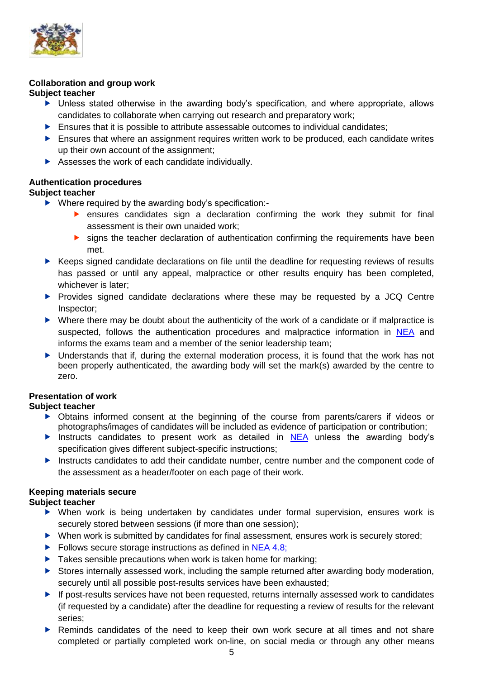

#### <span id="page-6-0"></span>**Collaboration and group work Subject teacher**

- Unless stated otherwise in the awarding body's specification, and where appropriate, allows candidates to collaborate when carrying out research and preparatory work;
- $\blacktriangleright$  Ensures that it is possible to attribute assessable outcomes to individual candidates;
- $\blacktriangleright$  Ensures that where an assignment requires written work to be produced, each candidate writes up their own account of the assignment;
- Assesses the work of each candidate individually.

## <span id="page-6-1"></span>**Authentication procedures**

#### **Subject teacher**

- ▶ Where required by the awarding body's specification:
	- ensures candidates sign a declaration confirming the work they submit for final assessment is their own unaided work;
	- **Soluty** signs the teacher declaration of authentication confirming the requirements have been met.
- ▶ Keeps signed candidate declarations on file until the deadline for requesting reviews of results has passed or until any appeal, malpractice or other results enquiry has been completed, whichever is later;
- Provides signed candidate declarations where these may be requested by a JCQ Centre Inspector;
- Where there may be doubt about the authenticity of the work of a candidate or if malpractice is suspected, follows the authentication procedures and malpractice information in [NEA](http://www.jcq.org.uk/exams-office/non-examination-assessments) and informs the exams team and a member of the senior leadership team;
- Understands that if, during the external moderation process, it is found that the work has not been properly authenticated, the awarding body will set the mark(s) awarded by the centre to zero.

## <span id="page-6-2"></span>**Presentation of work**

## **Subject teacher**

- Obtains informed consent at the beginning of the course from parents/carers if videos or photographs/images of candidates will be included as evidence of participation or contribution;
- Instructs candidates to present work as detailed in  $NEA$  unless the awarding body's specification gives different subject-specific instructions;
- **Instructs candidates to add their candidate number, centre number and the component code of** the assessment as a header/footer on each page of their work.

## <span id="page-6-3"></span>**Keeping materials secure**

#### **Subject teacher**

- When work is being undertaken by candidates under formal supervision, ensures work is securely stored between sessions (if more than one session);
- ▶ When work is submitted by candidates for final assessment, ensures work is securely stored;
- Follows secure storage instructions as defined in [NEA 4.8;](http://www.jcq.org.uk/exams-office/non-examination-assessments)
- $\blacktriangleright$  Takes sensible precautions when work is taken home for marking;
- Stores internally assessed work, including the sample returned after awarding body moderation, securely until all possible post-results services have been exhausted;
- ▶ If post-results services have not been requested, returns internally assessed work to candidates (if requested by a candidate) after the deadline for requesting a review of results for the relevant series;
- ▶ Reminds candidates of the need to keep their own work secure at all times and not share completed or partially completed work on-line, on social media or through any other means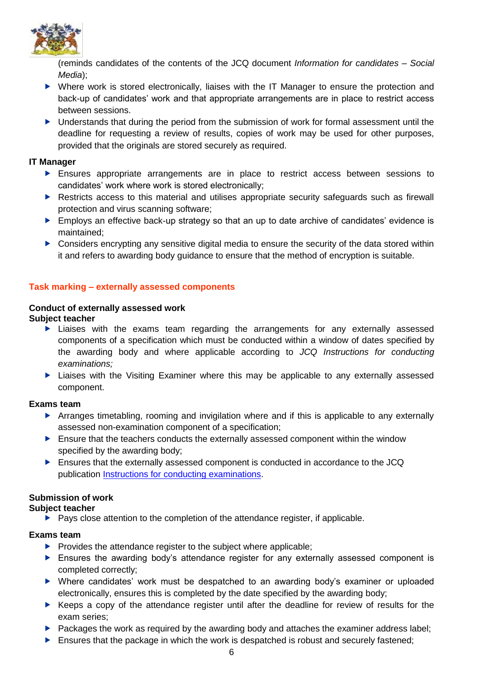

(reminds candidates of the contents of the JCQ document *Information for candidates – Social Media*);

- Where work is stored electronically, liaises with the IT Manager to ensure the protection and back-up of candidates' work and that appropriate arrangements are in place to restrict access between sessions.
- ▶ Understands that during the period from the submission of work for formal assessment until the deadline for requesting a review of results, copies of work may be used for other purposes, provided that the originals are stored securely as required.

#### **IT Manager**

- Ensures appropriate arrangements are in place to restrict access between sessions to candidates' work where work is stored electronically;
- **EXECT** Restricts access to this material and utilises appropriate security safeguards such as firewall protection and virus scanning software;
- **Employs an effective back-up strategy so that an up to date archive of candidates' evidence is** maintained;
- ▶ Considers encrypting any sensitive digital media to ensure the security of the data stored within it and refers to awarding body guidance to ensure that the method of encryption is suitable.

## <span id="page-7-0"></span>**Task marking – externally assessed components**

#### <span id="page-7-1"></span>**Conduct of externally assessed work Subject teacher**

- Liaises with the exams team regarding the arrangements for any externally assessed components of a specification which must be conducted within a window of dates specified by the awarding body and where applicable according to *JCQ Instructions for conducting examinations;*
- Liaises with the Visiting Examiner where this may be applicable to any externally assessed component.

#### **Exams team**

- Arranges timetabling, rooming and invigilation where and if this is applicable to any externally assessed non-examination component of a specification;
- $\blacktriangleright$  Ensure that the teachers conducts the externally assessed component within the window specified by the awarding body;
- Ensures that the externally assessed component is conducted in accordance to the JCQ publication [Instructions for conducting examinations.](https://www.jcq.org.uk/wp-content/uploads/2022/01/ICE_21-22_FINAL.pdf)

## <span id="page-7-2"></span>**Submission of work**

## **Subject teacher**

 $\blacktriangleright$  Pays close attention to the completion of the attendance register, if applicable.

## **Exams team**

- $\blacktriangleright$  Provides the attendance register to the subject where applicable;
- Ensures the awarding body's attendance register for any externally assessed component is completed correctly;
- Where candidates' work must be despatched to an awarding body's examiner or uploaded electronically, ensures this is completed by the date specified by the awarding body;
- $\blacktriangleright$  Keeps a copy of the attendance register until after the deadline for review of results for the exam series;
- Packages the work as required by the awarding body and attaches the examiner address label;
- Ensures that the package in which the work is despatched is robust and securely fastened;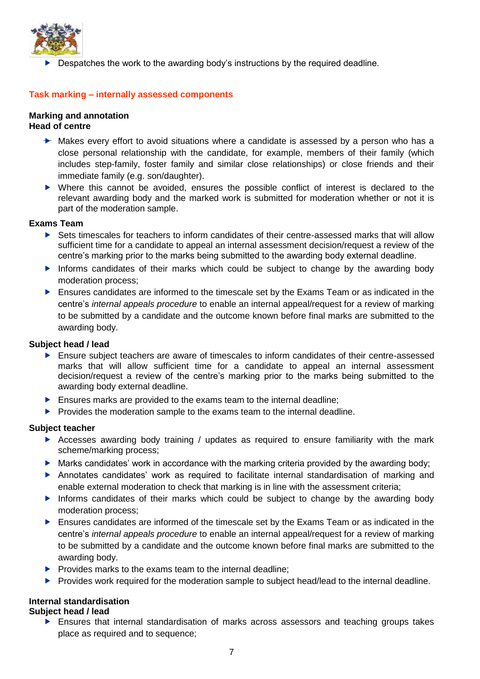

Despatches the work to the awarding body's instructions by the required deadline.

#### <span id="page-8-0"></span>**Task marking – internally assessed components**

#### <span id="page-8-1"></span>**Marking and annotation Head of centre**

- **►** Makes every effort to avoid situations where a candidate is assessed by a person who has a close personal relationship with the candidate, for example, members of their family (which includes step-family, foster family and similar close relationships) or close friends and their immediate family (e.g. son/daughter).
- Where this cannot be avoided, ensures the possible conflict of interest is declared to the relevant awarding body and the marked work is submitted for moderation whether or not it is part of the moderation sample.

#### **Exams Team**

- Sets timescales for teachers to inform candidates of their centre-assessed marks that will allow sufficient time for a candidate to appeal an internal assessment decision/request a review of the centre's marking prior to the marks being submitted to the awarding body external deadline.
- Informs candidates of their marks which could be subject to change by the awarding body moderation process;
- Ensures candidates are informed to the timescale set by the Exams Team or as indicated in the centre's *internal appeals procedure* to enable an internal appeal/request for a review of marking to be submitted by a candidate and the outcome known before final marks are submitted to the awarding body.

#### **Subject head / lead**

- Ensure subject teachers are aware of timescales to inform candidates of their centre-assessed marks that will allow sufficient time for a candidate to appeal an internal assessment decision/request a review of the centre's marking prior to the marks being submitted to the awarding body external deadline.
- **Ensures marks are provided to the exams team to the internal deadline;**
- Provides the moderation sample to the exams team to the internal deadline.

#### **Subject teacher**

- Accesses awarding body training / updates as required to ensure familiarity with the mark scheme/marking process;
- $\blacktriangleright$  Marks candidates' work in accordance with the marking criteria provided by the awarding body;
- Annotates candidates' work as required to facilitate internal standardisation of marking and enable external moderation to check that marking is in line with the assessment criteria;
- Informs candidates of their marks which could be subject to change by the awarding body moderation process;
- Ensures candidates are informed of the timescale set by the Exams Team or as indicated in the centre's *internal appeals procedure* to enable an internal appeal/request for a review of marking to be submitted by a candidate and the outcome known before final marks are submitted to the awarding body.
- $\blacktriangleright$  Provides marks to the exams team to the internal deadline;
- **Provides work required for the moderation sample to subject head/lead to the internal deadline.**

#### <span id="page-8-2"></span>**Internal standardisation**

#### **Subject head / lead**

 Ensures that internal standardisation of marks across assessors and teaching groups takes place as required and to sequence;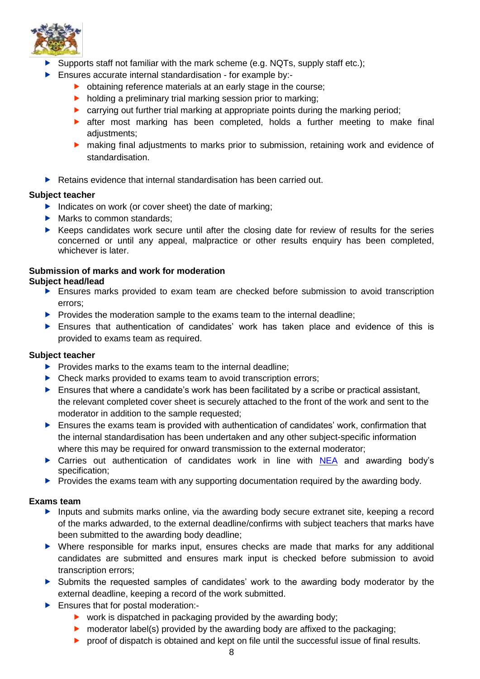

- Supports staff not familiar with the mark scheme (e.g. NQTs, supply staff etc.);
- Ensures accurate internal standardisation for example by:-
	- ▶ obtaining reference materials at an early stage in the course:
	- $\blacktriangleright$  holding a preliminary trial marking session prior to marking;
	- ▶ carrying out further trial marking at appropriate points during the marking period;
	- **E** after most marking has been completed, holds a further meeting to make final adiustments:
	- making final adjustments to marks prior to submission, retaining work and evidence of standardisation.
- $\blacktriangleright$  Retains evidence that internal standardisation has been carried out.

#### **Subject teacher**

- Indicates on work (or cover sheet) the date of marking;
- Marks to common standards;
- $\blacktriangleright$  Keeps candidates work secure until after the closing date for review of results for the series concerned or until any appeal, malpractice or other results enquiry has been completed, whichever is later.

#### <span id="page-9-0"></span>**Submission of marks and work for moderation Subject head/lead**

- Ensures marks provided to exam team are checked before submission to avoid transcription errors;
- $\blacktriangleright$  Provides the moderation sample to the exams team to the internal deadline;
- Ensures that authentication of candidates' work has taken place and evidence of this is provided to exams team as required.

#### **Subject teacher**

- $\blacktriangleright$  Provides marks to the exams team to the internal deadline:
- ▶ Check marks provided to exams team to avoid transcription errors;
- $\blacktriangleright$  Ensures that where a candidate's work has been facilitated by a scribe or practical assistant, the relevant completed cover sheet is securely attached to the front of the work and sent to the moderator in addition to the sample requested;
- Ensures the exams team is provided with authentication of candidates' work, confirmation that the internal standardisation has been undertaken and any other subject-specific information where this may be required for onward transmission to the external moderator;
- ▶ Carries out authentication of candidates work in line with [NEA](http://www.jcq.org.uk/exams-office/non-examination-assessments) and awarding body's specification;
- $\blacktriangleright$  Provides the exams team with any supporting documentation required by the awarding body.

#### **Exams team**

- Inputs and submits marks online, via the awarding body secure extranet site, keeping a record of the marks adwarded, to the external deadline/confirms with subject teachers that marks have been submitted to the awarding body deadline;
- Where responsible for marks input, ensures checks are made that marks for any additional candidates are submitted and ensures mark input is checked before submission to avoid transcription errors;
- Submits the requested samples of candidates' work to the awarding body moderator by the external deadline, keeping a record of the work submitted.
- **Ensures that for postal moderation:-**
	- $\triangleright$  work is dispatched in packaging provided by the awarding body;
	- $\triangleright$  moderator label(s) provided by the awarding body are affixed to the packaging;
	- **P** proof of dispatch is obtained and kept on file until the successful issue of final results.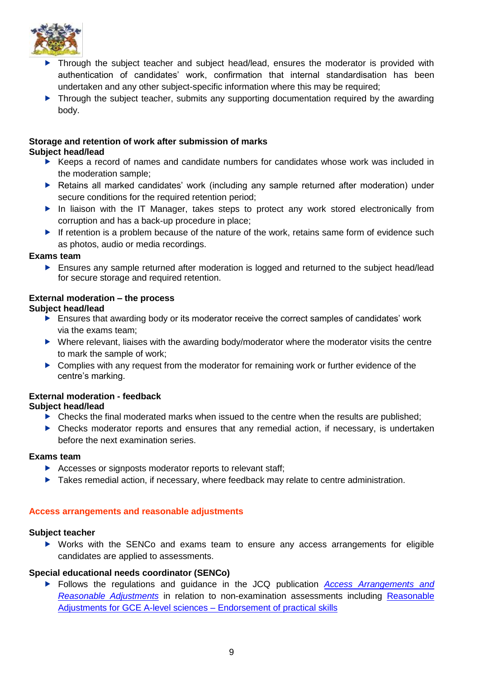

- **Through the subject teacher and subject head/lead, ensures the moderator is provided with** authentication of candidates' work, confirmation that internal standardisation has been undertaken and any other subject-specific information where this may be required;
- ▶ Through the subject teacher, submits any supporting documentation required by the awarding body.

# <span id="page-10-0"></span>**Storage and retention of work after submission of marks**

#### **Subject head/lead**

- ▶ Keeps a record of names and candidate numbers for candidates whose work was included in the moderation sample;
- Retains all marked candidates' work (including any sample returned after moderation) under secure conditions for the required retention period;
- In liaison with the IT Manager, takes steps to protect any work stored electronically from corruption and has a back-up procedure in place;
- If retention is a problem because of the nature of the work, retains same form of evidence such as photos, audio or media recordings.

#### **Exams team**

 Ensures any sample returned after moderation is logged and returned to the subject head/lead for secure storage and required retention.

## <span id="page-10-1"></span>**External moderation – the process**

#### **Subject head/lead**

- Ensures that awarding body or its moderator receive the correct samples of candidates' work via the exams team;
- ▶ Where relevant, liaises with the awarding body/moderator where the moderator visits the centre to mark the sample of work;
- ▶ Complies with any request from the moderator for remaining work or further evidence of the centre's marking.

## <span id="page-10-2"></span>**External moderation - feedback**

#### **Subject head/lead**

- $\triangleright$  Checks the final moderated marks when issued to the centre when the results are published;
- Checks moderator reports and ensures that any remedial action, if necessary, is undertaken before the next examination series.

#### **Exams team**

- Accesses or signposts moderator reports to relevant staff;
- Takes remedial action, if necessary, where feedback may relate to centre administration.

#### <span id="page-10-3"></span>**Access arrangements and reasonable adjustments**

#### **Subject teacher**

 Works with the SENCo and exams team to ensure any access arrangements for eligible candidates are applied to assessments.

#### **Special educational needs coordinator (SENCo)**

 Follows the regulations and guidance in the JCQ publication *[Access Arrangements and](http://www.jcq.org.uk/exams-office/access-arrangements-and-special-consideration)  [Reasonable Adjustments](http://www.jcq.org.uk/exams-office/access-arrangements-and-special-consideration)* in relation to non-examination assessments including [Reasonable](https://www.jcq.org.uk/exams-office/access-arrangements-and-special-consideration/regulations-and-guidance)  [Adjustments for GCE A-level sciences –](https://www.jcq.org.uk/exams-office/access-arrangements-and-special-consideration/regulations-and-guidance) Endorsement of practical skills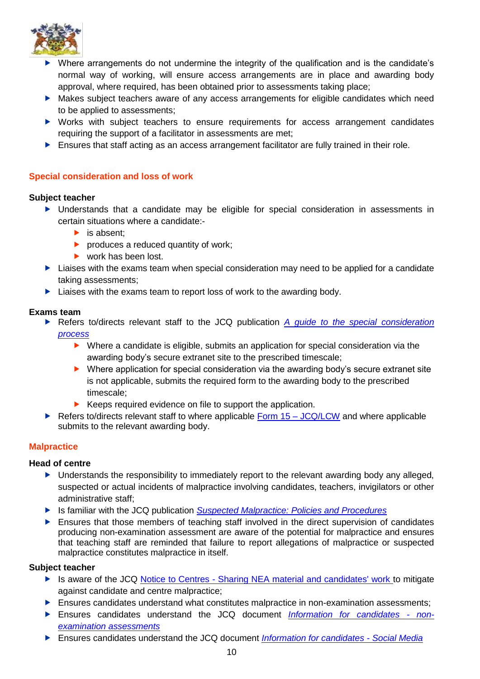

- Where arrangements do not undermine the integrity of the qualification and is the candidate's normal way of working, will ensure access arrangements are in place and awarding body approval, where required, has been obtained prior to assessments taking place;
- Makes subject teachers aware of any access arrangements for eligible candidates which need to be applied to assessments;
- Works with subject teachers to ensure requirements for access arrangement candidates requiring the support of a facilitator in assessments are met;
- **Ensures that staff acting as an access arrangement facilitator are fully trained in their role.**

## <span id="page-11-0"></span>**Special consideration and loss of work**

#### **Subject teacher**

- Understands that a candidate may be eligible for special consideration in assessments in certain situations where a candidate:-
	- $\blacktriangleright$  is absent:
	- $\blacktriangleright$  produces a reduced quantity of work;
	- ▶ work has been lost.
- **Liaises with the exams team when special consideration may need to be applied for a candidate** taking assessments;
- $\blacktriangleright$  Liaises with the exams team to report loss of work to the awarding body.

#### **Exams team**

 Refers to/directs relevant staff to the JCQ publication *[A guide to the special consideration](http://www.jcq.org.uk/exams-office/access-arrangements-and-special-consideration)  [process](http://www.jcq.org.uk/exams-office/access-arrangements-and-special-consideration)* 

- Where a candidate is eligible, submits an application for special consideration via the awarding body's secure extranet site to the prescribed timescale;
- Where application for special consideration via the awarding body's secure extranet site is not applicable, submits the required form to the awarding body to the prescribed timescale;
- $\blacktriangleright$  Keeps required evidence on file to support the application.
- Refers to/directs relevant staff to where applicable Form  $15 JCQ/LCW$  and where applicable submits to the relevant awarding body.

## <span id="page-11-1"></span>**Malpractice**

#### **Head of centre**

- ▶ Understands the responsibility to immediately report to the relevant awarding body any alleged, suspected or actual incidents of malpractice involving candidates, teachers, invigilators or other administrative staff;
- Is familiar with the JCQ publication *[Suspected Malpractice: Policies and Procedures](http://www.jcq.org.uk/exams-office/malpractice)*
- $\blacktriangleright$  Ensures that those members of teaching staff involved in the direct supervision of candidates producing non-examination assessment are aware of the potential for malpractice and ensures that teaching staff are reminded that failure to report allegations of malpractice or suspected malpractice constitutes malpractice in itself.

#### **Subject teacher**

- ▶ Is aware of the JCQ Notice to Centres [Sharing NEA material and candidates' work](http://www.jcq.org.uk/exams-office/non-examination-assessments) to mitigate against candidate and centre malpractice;
- **Ensures candidates understand what constitutes malpractice in non-examination assessments;**
- Ensures candidates understand the JCQ document *[Information for candidates -](http://www.jcq.org.uk/exams-office/information-for-candidates-documents) non[examination assessments](http://www.jcq.org.uk/exams-office/information-for-candidates-documents)*
- Ensures candidates understand the JCQ document *[Information for candidates -](http://www.jcq.org.uk/exams-office/information-for-candidates-documents) Social Media*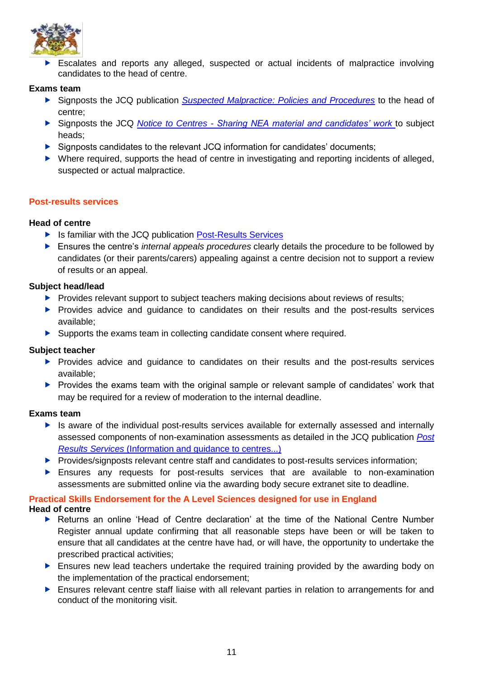

 Escalates and reports any alleged, suspected or actual incidents of malpractice involving candidates to the head of centre.

#### **Exams team**

- Signposts the JCQ publication *[Suspected Malpractice: Policies and Procedures](http://www.jcq.org.uk/exams-office/malpractice)* to the head of centre;
- Signposts the JCQ *Notice to Centres - [Sharing NEA material and candidates' work](http://www.jcq.org.uk/exams-office/non-examination-assessments)* to subject heads;
- $\triangleright$  Signposts candidates to the relevant JCQ information for candidates' documents:
- Where required, supports the head of centre in investigating and reporting incidents of alleged, suspected or actual malpractice.

#### <span id="page-12-0"></span>**Post-results services**

#### **Head of centre**

- In Is familiar with the JCQ publication [Post-Results Services](https://www.jcq.org.uk/exams-office/post-results-services)
- Ensures the centre's *internal appeals procedures* clearly details the procedure to be followed by candidates (or their parents/carers) appealing against a centre decision not to support a review of results or an appeal.

#### **Subject head/lead**

- $\triangleright$  Provides relevant support to subject teachers making decisions about reviews of results;
- Provides advice and guidance to candidates on their results and the post-results services available;
- Supports the exams team in collecting candidate consent where required.

#### **Subject teacher**

- **Provides advice and guidance to candidates on their results and the post-results services** available;
- Provides the exams team with the original sample or relevant sample of candidates' work that may be required for a review of moderation to the internal deadline.

#### **Exams team**

- Is aware of the individual post-results services available for externally assessed and internally assessed components of non-examination assessments as detailed in the JCQ publication *[Post](http://www.jcq.org.uk/exams-office/post-results-services)  Results Services* [\(Information and guidance to centres...\)](http://www.jcq.org.uk/exams-office/post-results-services)
- Provides/signposts relevant centre staff and candidates to post-results services information;
- Ensures any requests for post-results services that are available to non-examination assessments are submitted online via the awarding body secure extranet site to deadline.

## <span id="page-12-1"></span>**Practical Skills Endorsement for the A Level Sciences designed for use in England**

#### **Head of centre**

- Returns an online 'Head of Centre declaration' at the time of the National Centre Number Register annual update confirming that all reasonable steps have been or will be taken to ensure that all candidates at the centre have had, or will have, the opportunity to undertake the prescribed practical activities;
- Ensures new lead teachers undertake the required training provided by the awarding body on the implementation of the practical endorsement;
- Ensures relevant centre staff liaise with all relevant parties in relation to arrangements for and conduct of the monitoring visit.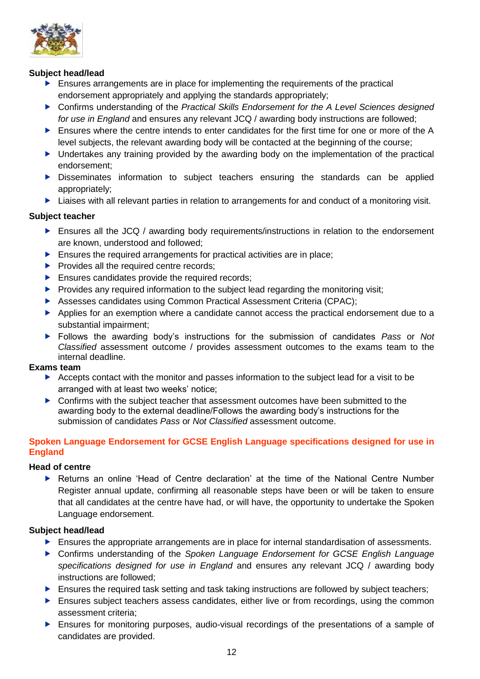

#### **Subject head/lead**

- Ensures arrangements are in place for implementing the requirements of the practical endorsement appropriately and applying the standards appropriately;
- ▶ Confirms understanding of the *Practical Skills Endorsement for the A Level Sciences designed for use in England* and ensures any relevant JCQ / awarding body instructions are followed;
- Ensures where the centre intends to enter candidates for the first time for one or more of the A level subjects, the relevant awarding body will be contacted at the beginning of the course;
- Undertakes any training provided by the awarding body on the implementation of the practical endorsement;
- Disseminates information to subject teachers ensuring the standards can be applied appropriately;
- **EXTERN** Liaises with all relevant parties in relation to arrangements for and conduct of a monitoring visit.

## **Subject teacher**

- Ensures all the JCQ / awarding body requirements/instructions in relation to the endorsement are known, understood and followed;
- $\blacktriangleright$  Ensures the required arrangements for practical activities are in place;
- $\blacktriangleright$  Provides all the required centre records;
- Ensures candidates provide the required records;
- $\blacktriangleright$  Provides any required information to the subject lead regarding the monitoring visit;
- Assesses candidates using Common Practical Assessment Criteria (CPAC);
- Applies for an exemption where a candidate cannot access the practical endorsement due to a substantial impairment;
- Follows the awarding body's instructions for the submission of candidates *Pass* or *Not Classified* assessment outcome / provides assessment outcomes to the exams team to the internal deadline.

#### **Exams team**

- Accepts contact with the monitor and passes information to the subject lead for a visit to be arranged with at least two weeks' notice;
- ▶ Confirms with the subject teacher that assessment outcomes have been submitted to the awarding body to the external deadline/Follows the awarding body's instructions for the submission of candidates *Pass* or *Not Classified* assessment outcome.

#### <span id="page-13-0"></span>**Spoken Language Endorsement for GCSE English Language specifications designed for use in England**

#### **Head of centre**

 Returns an online 'Head of Centre declaration' at the time of the National Centre Number Register annual update, confirming all reasonable steps have been or will be taken to ensure that all candidates at the centre have had, or will have, the opportunity to undertake the Spoken Language endorsement.

#### **Subject head/lead**

- **Ensures the appropriate arrangements are in place for internal standardisation of assessments.**
- Confirms understanding of the *Spoken Language Endorsement for GCSE English Language specifications designed for use in England* and ensures any relevant JCQ / awarding body instructions are followed;
- Ensures the required task setting and task taking instructions are followed by subject teachers;
- **Ensures subject teachers assess candidates, either live or from recordings, using the common** assessment criteria;
- Ensures for monitoring purposes, audio-visual recordings of the presentations of a sample of candidates are provided.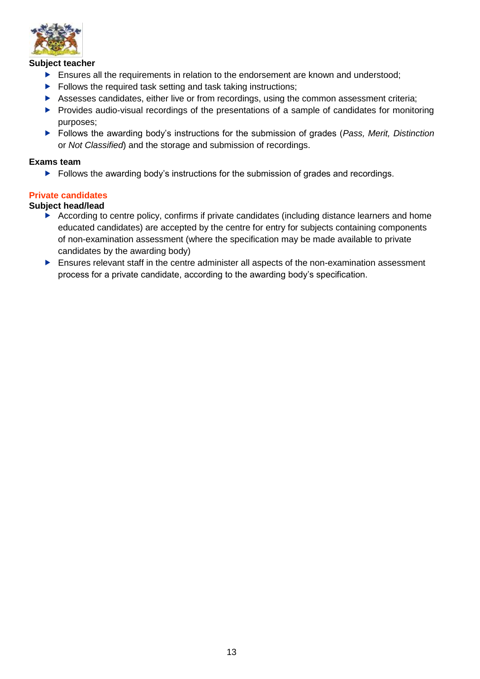

#### **Subject teacher**

- **Ensures all the requirements in relation to the endorsement are known and understood;**
- $\blacktriangleright$  Follows the required task setting and task taking instructions;
- Assesses candidates, either live or from recordings, using the common assessment criteria;
- **Provides audio-visual recordings of the presentations of a sample of candidates for monitoring** purposes;
- Follows the awarding body's instructions for the submission of grades (*Pass, Merit, Distinction* or *Not Classified*) and the storage and submission of recordings.

#### **Exams team**

Follows the awarding body's instructions for the submission of grades and recordings.

#### <span id="page-14-0"></span>**Private candidates**

#### **Subject head/lead**

- According to centre policy, confirms if private candidates (including distance learners and home educated candidates) are accepted by the centre for entry for subjects containing components of non-examination assessment (where the specification may be made available to private candidates by the awarding body)
- Ensures relevant staff in the centre administer all aspects of the non-examination assessment process for a private candidate, according to the awarding body's specification.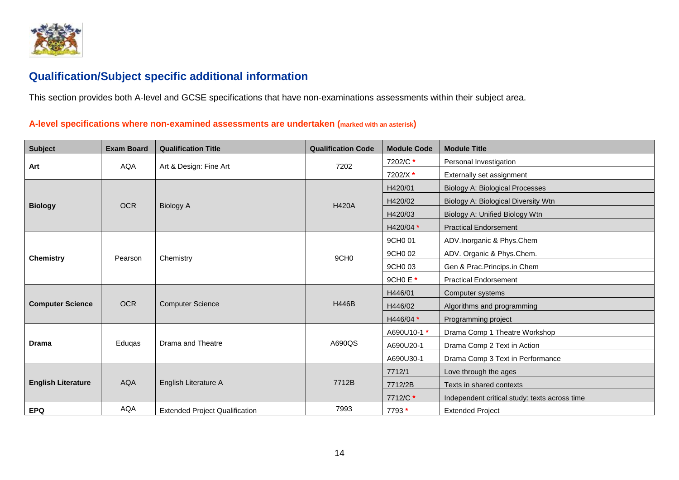

# **Qualification/Subject specific additional information**

This section provides both A-level and GCSE specifications that have non-examinations assessments within their subject area.

## **A-level specifications where non-examined assessments are undertaken (marked with an asterisk)**

<span id="page-15-1"></span><span id="page-15-0"></span>

| <b>Subject</b>            | <b>Exam Board</b> | <b>Qualification Title</b>            | <b>Qualification Code</b> | <b>Module Code</b> | <b>Module Title</b>                           |
|---------------------------|-------------------|---------------------------------------|---------------------------|--------------------|-----------------------------------------------|
| Art                       | <b>AQA</b>        | Art & Design: Fine Art                | 7202                      | 7202/C*            | Personal Investigation                        |
|                           |                   |                                       |                           | 7202/X*            | Externally set assignment                     |
|                           |                   |                                       | <b>H420A</b>              | H420/01            | <b>Biology A: Biological Processes</b>        |
| <b>Biology</b>            | <b>OCR</b>        | <b>Biology A</b>                      |                           | H420/02            | Biology A: Biological Diversity Wtn           |
|                           |                   |                                       |                           | H420/03            | Biology A: Unified Biology Wtn                |
|                           |                   |                                       |                           | H420/04 *          | <b>Practical Endorsement</b>                  |
|                           |                   |                                       |                           | 9CH0 01            | ADV.Inorganic & Phys.Chem                     |
| <b>Chemistry</b>          | Pearson           | Chemistry                             | 9CH <sub>0</sub>          | 9CH0 02            | ADV. Organic & Phys.Chem.                     |
|                           |                   |                                       |                           | 9CH0 03            | Gen & Prac.Princips.in Chem                   |
|                           |                   |                                       |                           | 9CH0 E *           | <b>Practical Endorsement</b>                  |
|                           |                   | <b>Computer Science</b>               | <b>H446B</b>              | H446/01            | Computer systems                              |
| <b>Computer Science</b>   | <b>OCR</b>        |                                       |                           | H446/02            | Algorithms and programming                    |
|                           |                   |                                       |                           | H446/04 *          | Programming project                           |
|                           |                   |                                       |                           | A690U10-1 *        | Drama Comp 1 Theatre Workshop                 |
| <b>Drama</b>              | Eduqas            | Drama and Theatre                     | A690QS                    | A690U20-1          | Drama Comp 2 Text in Action                   |
|                           |                   |                                       |                           | A690U30-1          | Drama Comp 3 Text in Performance              |
|                           |                   | English Literature A                  |                           | 7712/1             | Love through the ages                         |
| <b>English Literature</b> | <b>AQA</b>        |                                       | 7712B                     | 7712/2B            | Texts in shared contexts                      |
|                           |                   |                                       |                           | 7712/C *           | Independent critical study: texts across time |
| <b>EPQ</b>                | <b>AQA</b>        | <b>Extended Project Qualification</b> | 7993                      | 7793 *             | <b>Extended Project</b>                       |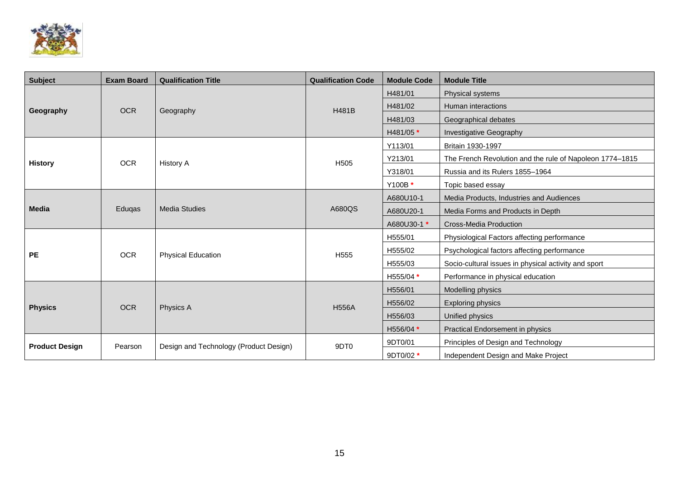

| <b>Subject</b>        | <b>Exam Board</b> | <b>Qualification Title</b>             | <b>Qualification Code</b> | <b>Module Code</b> | <b>Module Title</b>                                      |
|-----------------------|-------------------|----------------------------------------|---------------------------|--------------------|----------------------------------------------------------|
|                       |                   |                                        |                           | H481/01            | Physical systems                                         |
|                       | <b>OCR</b>        |                                        | H481B                     | H481/02            | Human interactions                                       |
| Geography             |                   | Geography                              |                           | H481/03            | Geographical debates                                     |
|                       |                   |                                        |                           | H481/05 *          | <b>Investigative Geography</b>                           |
|                       |                   |                                        |                           | Y113/01            | Britain 1930-1997                                        |
| <b>History</b>        | <b>OCR</b>        | <b>History A</b>                       | H <sub>505</sub>          | Y213/01            | The French Revolution and the rule of Napoleon 1774-1815 |
|                       |                   |                                        |                           | Y318/01            | Russia and its Rulers 1855-1964                          |
|                       |                   |                                        |                           | Y100B *            | Topic based essay                                        |
|                       | Eduqas            | <b>Media Studies</b>                   |                           | A680U10-1          | Media Products, Industries and Audiences                 |
| <b>Media</b>          |                   |                                        | A680QS                    | A680U20-1          | Media Forms and Products in Depth                        |
|                       |                   |                                        |                           | A680U30-1 *        | <b>Cross-Media Production</b>                            |
|                       |                   |                                        |                           | H555/01            | Physiological Factors affecting performance              |
| <b>PE</b>             | <b>OCR</b>        | <b>Physical Education</b>              | H <sub>555</sub>          | H555/02            | Psychological factors affecting performance              |
|                       |                   |                                        |                           | H555/03            | Socio-cultural issues in physical activity and sport     |
|                       |                   |                                        |                           | H555/04 *          | Performance in physical education                        |
|                       |                   |                                        |                           | H556/01            | Modelling physics                                        |
| <b>Physics</b>        | <b>OCR</b>        | Physics A                              | <b>H556A</b>              | H556/02            | <b>Exploring physics</b>                                 |
|                       |                   |                                        |                           | H556/03            | Unified physics                                          |
|                       |                   |                                        |                           | H556/04 *          | <b>Practical Endorsement in physics</b>                  |
| <b>Product Design</b> | Pearson           | Design and Technology (Product Design) | 9DT <sub>0</sub>          | 9DT0/01            | Principles of Design and Technology                      |
|                       |                   |                                        |                           | 9DT0/02 *          | Independent Design and Make Project                      |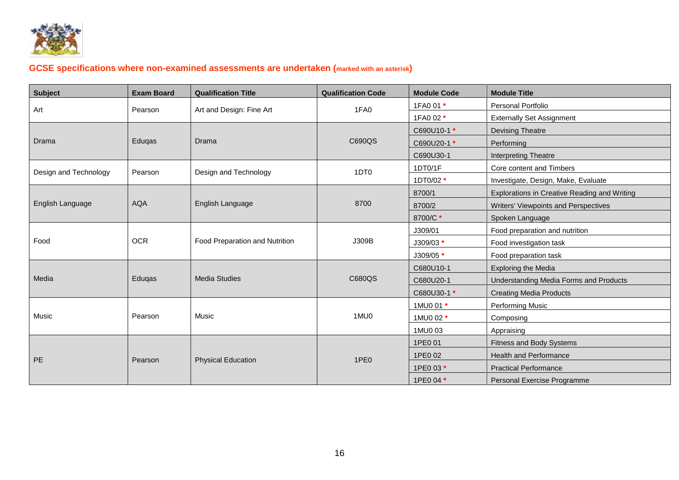

# **GCSE specifications where non-examined assessments are undertaken (marked with an asterisk)**

<span id="page-17-0"></span>

| <b>Subject</b>        | <b>Exam Board</b> | <b>Qualification Title</b>       | <b>Qualification Code</b> | <b>Module Code</b> | <b>Module Title</b>                          |
|-----------------------|-------------------|----------------------------------|---------------------------|--------------------|----------------------------------------------|
|                       |                   |                                  |                           | 1FA0 01 *          | Personal Portfolio                           |
| Art                   | Pearson           | 1FA0<br>Art and Design: Fine Art |                           | 1FA0 02 *          | <b>Externally Set Assignment</b>             |
|                       |                   |                                  |                           | C690U10-1 *        | Devising Theatre                             |
| Drama                 | Eduqas            | Drama                            | C690QS                    | C690U20-1 *        | Performing                                   |
|                       |                   |                                  |                           | C690U30-1          | Interpreting Theatre                         |
| Design and Technology | Pearson           | Design and Technology            | 1DT <sub>0</sub>          | 1DT0/1F            | Core content and Timbers                     |
|                       |                   |                                  |                           | 1DT0/02 *          | Investigate, Design, Make, Evaluate          |
|                       |                   |                                  |                           | 8700/1             | Explorations in Creative Reading and Writing |
| English Language      | <b>AQA</b>        | English Language                 | 8700                      | 8700/2             | Writers' Viewpoints and Perspectives         |
|                       |                   |                                  |                           | 8700/C*            | Spoken Language                              |
|                       |                   |                                  |                           | J309/01            | Food preparation and nutrition               |
| Food                  | <b>OCR</b>        | Food Preparation and Nutrition   | J309B                     | J309/03 *          | Food investigation task                      |
|                       |                   |                                  |                           | J309/05 *          | Food preparation task                        |
|                       |                   |                                  |                           | C680U10-1          | <b>Exploring the Media</b>                   |
| Media                 | Eduqas            | <b>Media Studies</b>             | C680QS                    | C680U20-1          | Understanding Media Forms and Products       |
|                       |                   |                                  |                           | C680U30-1 *        | <b>Creating Media Products</b>               |
|                       |                   |                                  |                           | 1MU0 01 *          | Performing Music                             |
| Music                 | Pearson           | Music                            | 1MU0                      | 1MU0 02 *          | Composing                                    |
|                       |                   |                                  |                           | 1MU0 03            | Appraising                                   |
|                       |                   |                                  |                           | 1PE0 01            | Fitness and Body Systems                     |
| PE                    | Pearson           |                                  | 1PE <sub>0</sub>          | 1PE0 02            | <b>Health and Performance</b>                |
|                       |                   | <b>Physical Education</b>        |                           | 1PE0 03 *          | <b>Practical Performance</b>                 |
|                       |                   |                                  |                           | 1PE0 04 *          | Personal Exercise Programme                  |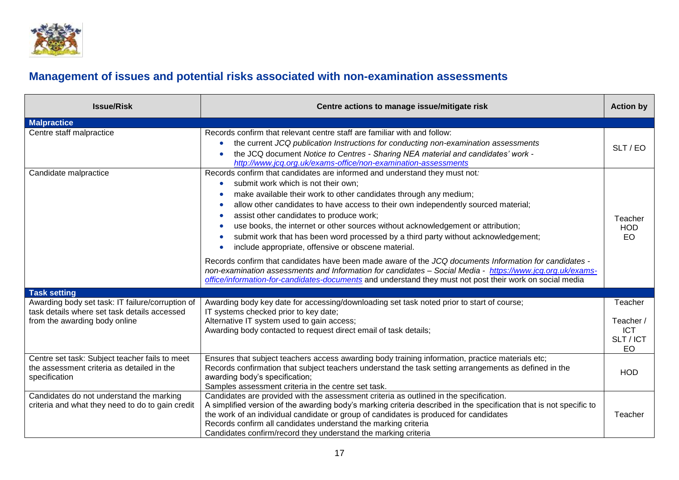

# **Management of issues and potential risks associated with non-examination assessments**

<span id="page-18-0"></span>

| <b>Issue/Risk</b>                                                                                             | Centre actions to manage issue/mitigate risk                                                                                                                                                                                                                                                                                                                                                                                                                                                                                                                                                                                                                                                                                                                                                                                                                                                                          | <b>Action by</b>                           |
|---------------------------------------------------------------------------------------------------------------|-----------------------------------------------------------------------------------------------------------------------------------------------------------------------------------------------------------------------------------------------------------------------------------------------------------------------------------------------------------------------------------------------------------------------------------------------------------------------------------------------------------------------------------------------------------------------------------------------------------------------------------------------------------------------------------------------------------------------------------------------------------------------------------------------------------------------------------------------------------------------------------------------------------------------|--------------------------------------------|
| <b>Malpractice</b>                                                                                            |                                                                                                                                                                                                                                                                                                                                                                                                                                                                                                                                                                                                                                                                                                                                                                                                                                                                                                                       |                                            |
| Centre staff malpractice                                                                                      | Records confirm that relevant centre staff are familiar with and follow:<br>the current JCQ publication Instructions for conducting non-examination assessments<br>۰<br>the JCQ document Notice to Centres - Sharing NEA material and candidates' work -<br>http://www.jcg.org.uk/exams-office/non-examination-assessments                                                                                                                                                                                                                                                                                                                                                                                                                                                                                                                                                                                            | SLT / EO                                   |
| Candidate malpractice                                                                                         | Records confirm that candidates are informed and understand they must not:<br>submit work which is not their own;<br>٠<br>make available their work to other candidates through any medium;<br>٠<br>allow other candidates to have access to their own independently sourced material;<br>٠<br>assist other candidates to produce work;<br>٠<br>use books, the internet or other sources without acknowledgement or attribution;<br>٠<br>submit work that has been word processed by a third party without acknowledgement;<br>include appropriate, offensive or obscene material.<br>Records confirm that candidates have been made aware of the JCQ documents Information for candidates -<br>non-examination assessments and Information for candidates - Social Media - https://www.jcg.org.uk/exams-<br>office/information-for-candidates-documents and understand they must not post their work on social media | Teacher<br><b>HOD</b><br><b>EO</b>         |
| <b>Task setting</b>                                                                                           |                                                                                                                                                                                                                                                                                                                                                                                                                                                                                                                                                                                                                                                                                                                                                                                                                                                                                                                       |                                            |
| Awarding body set task: IT failure/corruption of<br>task details where set task details accessed              | Awarding body key date for accessing/downloading set task noted prior to start of course;<br>IT systems checked prior to key date;                                                                                                                                                                                                                                                                                                                                                                                                                                                                                                                                                                                                                                                                                                                                                                                    | Teacher                                    |
| from the awarding body online                                                                                 | Alternative IT system used to gain access;<br>Awarding body contacted to request direct email of task details;                                                                                                                                                                                                                                                                                                                                                                                                                                                                                                                                                                                                                                                                                                                                                                                                        | Teacher /<br><b>ICT</b><br>SLT / ICT<br>EO |
| Centre set task: Subject teacher fails to meet<br>the assessment criteria as detailed in the<br>specification | Ensures that subject teachers access awarding body training information, practice materials etc;<br>Records confirmation that subject teachers understand the task setting arrangements as defined in the<br>awarding body's specification;<br>Samples assessment criteria in the centre set task.                                                                                                                                                                                                                                                                                                                                                                                                                                                                                                                                                                                                                    | <b>HOD</b>                                 |
| Candidates do not understand the marking<br>criteria and what they need to do to gain credit                  | Candidates are provided with the assessment criteria as outlined in the specification.<br>A simplified version of the awarding body's marking criteria described in the specification that is not specific to<br>the work of an individual candidate or group of candidates is produced for candidates<br>Records confirm all candidates understand the marking criteria<br>Candidates confirm/record they understand the marking criteria                                                                                                                                                                                                                                                                                                                                                                                                                                                                            | Teacher                                    |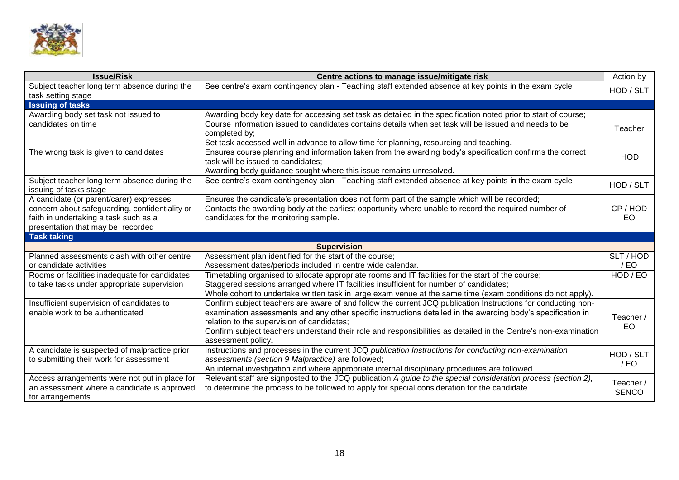

| <b>Issue/Risk</b>                                                                                                                                                       | Centre actions to manage issue/mitigate risk                                                                                                                                                                                                                                                                                                                                                                         | Action by                 |
|-------------------------------------------------------------------------------------------------------------------------------------------------------------------------|----------------------------------------------------------------------------------------------------------------------------------------------------------------------------------------------------------------------------------------------------------------------------------------------------------------------------------------------------------------------------------------------------------------------|---------------------------|
| Subject teacher long term absence during the                                                                                                                            | See centre's exam contingency plan - Teaching staff extended absence at key points in the exam cycle                                                                                                                                                                                                                                                                                                                 | HOD / SLT                 |
| task setting stage                                                                                                                                                      |                                                                                                                                                                                                                                                                                                                                                                                                                      |                           |
| <b>Issuing of tasks</b>                                                                                                                                                 |                                                                                                                                                                                                                                                                                                                                                                                                                      |                           |
| Awarding body set task not issued to<br>candidates on time                                                                                                              | Awarding body key date for accessing set task as detailed in the specification noted prior to start of course;<br>Course information issued to candidates contains details when set task will be issued and needs to be<br>completed by;<br>Set task accessed well in advance to allow time for planning, resourcing and teaching.                                                                                   | Teacher                   |
| The wrong task is given to candidates                                                                                                                                   | Ensures course planning and information taken from the awarding body's specification confirms the correct<br>task will be issued to candidates;<br>Awarding body guidance sought where this issue remains unresolved.                                                                                                                                                                                                | <b>HOD</b>                |
| Subject teacher long term absence during the<br>issuing of tasks stage                                                                                                  | See centre's exam contingency plan - Teaching staff extended absence at key points in the exam cycle                                                                                                                                                                                                                                                                                                                 | HOD / SLT                 |
| A candidate (or parent/carer) expresses<br>concern about safeguarding, confidentiality or<br>faith in undertaking a task such as a<br>presentation that may be recorded | Ensures the candidate's presentation does not form part of the sample which will be recorded;<br>Contacts the awarding body at the earliest opportunity where unable to record the required number of<br>candidates for the monitoring sample.                                                                                                                                                                       | CP/HOD<br>EO.             |
| <b>Task taking</b>                                                                                                                                                      |                                                                                                                                                                                                                                                                                                                                                                                                                      |                           |
|                                                                                                                                                                         | <b>Supervision</b>                                                                                                                                                                                                                                                                                                                                                                                                   |                           |
| Planned assessments clash with other centre                                                                                                                             | Assessment plan identified for the start of the course;                                                                                                                                                                                                                                                                                                                                                              | SLT/HOD                   |
| or candidate activities                                                                                                                                                 | Assessment dates/periods included in centre wide calendar.                                                                                                                                                                                                                                                                                                                                                           | /EO                       |
| Rooms or facilities inadequate for candidates<br>to take tasks under appropriate supervision                                                                            | Timetabling organised to allocate appropriate rooms and IT facilities for the start of the course;<br>Staggered sessions arranged where IT facilities insufficient for number of candidates;<br>Whole cohort to undertake written task in large exam venue at the same time (exam conditions do not apply).                                                                                                          | HOD / EO                  |
| Insufficient supervision of candidates to<br>enable work to be authenticated                                                                                            | Confirm subject teachers are aware of and follow the current JCQ publication Instructions for conducting non-<br>examination assessments and any other specific instructions detailed in the awarding body's specification in<br>relation to the supervision of candidates;<br>Confirm subject teachers understand their role and responsibilities as detailed in the Centre's non-examination<br>assessment policy. | Teacher /<br>EO           |
| A candidate is suspected of malpractice prior<br>to submitting their work for assessment                                                                                | Instructions and processes in the current JCQ publication Instructions for conducting non-examination<br>assessments (section 9 Malpractice) are followed;<br>An internal investigation and where appropriate internal disciplinary procedures are followed                                                                                                                                                          | HOD / SLT<br>$/$ EO       |
| Access arrangements were not put in place for<br>an assessment where a candidate is approved<br>for arrangements                                                        | Relevant staff are signposted to the JCQ publication A guide to the special consideration process (section 2),<br>to determine the process to be followed to apply for special consideration for the candidate                                                                                                                                                                                                       | Teacher /<br><b>SENCO</b> |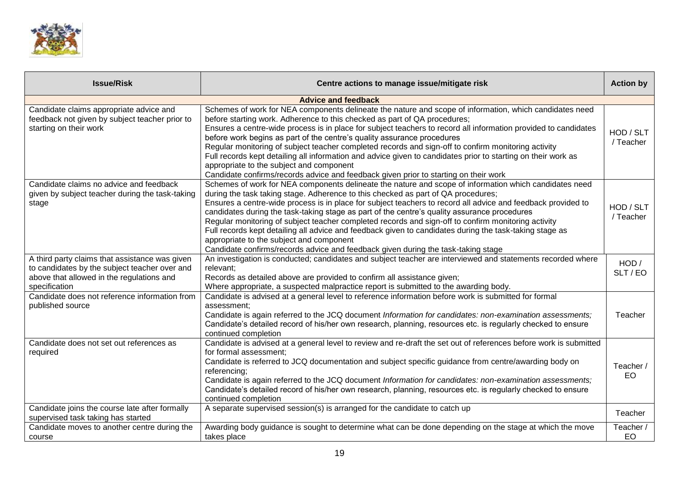

| <b>Issue/Risk</b>                                                                                                                                             | Centre actions to manage issue/mitigate risk                                                                                                                                                                                                                                                                                                                                                                                                                                                                                                                                                                                                                                                                                                                   | <b>Action by</b>       |
|---------------------------------------------------------------------------------------------------------------------------------------------------------------|----------------------------------------------------------------------------------------------------------------------------------------------------------------------------------------------------------------------------------------------------------------------------------------------------------------------------------------------------------------------------------------------------------------------------------------------------------------------------------------------------------------------------------------------------------------------------------------------------------------------------------------------------------------------------------------------------------------------------------------------------------------|------------------------|
|                                                                                                                                                               | <b>Advice and feedback</b>                                                                                                                                                                                                                                                                                                                                                                                                                                                                                                                                                                                                                                                                                                                                     |                        |
| Candidate claims appropriate advice and<br>feedback not given by subject teacher prior to<br>starting on their work                                           | Schemes of work for NEA components delineate the nature and scope of information, which candidates need<br>before starting work. Adherence to this checked as part of QA procedures;<br>Ensures a centre-wide process is in place for subject teachers to record all information provided to candidates<br>before work begins as part of the centre's quality assurance procedures<br>Regular monitoring of subject teacher completed records and sign-off to confirm monitoring activity<br>Full records kept detailing all information and advice given to candidates prior to starting on their work as<br>appropriate to the subject and component<br>Candidate confirms/records advice and feedback given prior to starting on their work                 | HOD / SLT<br>/ Teacher |
| Candidate claims no advice and feedback<br>given by subject teacher during the task-taking<br>stage                                                           | Schemes of work for NEA components delineate the nature and scope of information which candidates need<br>during the task taking stage. Adherence to this checked as part of QA procedures;<br>Ensures a centre-wide process is in place for subject teachers to record all advice and feedback provided to<br>candidates during the task-taking stage as part of the centre's quality assurance procedures<br>Regular monitoring of subject teacher completed records and sign-off to confirm monitoring activity<br>Full records kept detailing all advice and feedback given to candidates during the task-taking stage as<br>appropriate to the subject and component<br>Candidate confirms/records advice and feedback given during the task-taking stage | HOD / SLT<br>/ Teacher |
| A third party claims that assistance was given<br>to candidates by the subject teacher over and<br>above that allowed in the regulations and<br>specification | An investigation is conducted; candidates and subject teacher are interviewed and statements recorded where<br>relevant;<br>Records as detailed above are provided to confirm all assistance given;<br>Where appropriate, a suspected malpractice report is submitted to the awarding body.                                                                                                                                                                                                                                                                                                                                                                                                                                                                    | HOD /<br>SLT / EO      |
| Candidate does not reference information from<br>published source                                                                                             | Candidate is advised at a general level to reference information before work is submitted for formal<br>assessment:<br>Candidate is again referred to the JCQ document Information for candidates: non-examination assessments;<br>Candidate's detailed record of his/her own research, planning, resources etc. is regularly checked to ensure<br>continued completion                                                                                                                                                                                                                                                                                                                                                                                        | Teacher                |
| Candidate does not set out references as<br>required                                                                                                          | Candidate is advised at a general level to review and re-draft the set out of references before work is submitted<br>for formal assessment;<br>Candidate is referred to JCQ documentation and subject specific guidance from centre/awarding body on<br>referencing;<br>Candidate is again referred to the JCQ document Information for candidates: non-examination assessments;<br>Candidate's detailed record of his/her own research, planning, resources etc. is regularly checked to ensure<br>continued completion                                                                                                                                                                                                                                       | Teacher /<br><b>EO</b> |
| Candidate joins the course late after formally<br>supervised task taking has started                                                                          | A separate supervised session(s) is arranged for the candidate to catch up                                                                                                                                                                                                                                                                                                                                                                                                                                                                                                                                                                                                                                                                                     | Teacher                |
| Candidate moves to another centre during the<br>course                                                                                                        | Awarding body guidance is sought to determine what can be done depending on the stage at which the move<br>takes place                                                                                                                                                                                                                                                                                                                                                                                                                                                                                                                                                                                                                                         | Teacher /<br>EO        |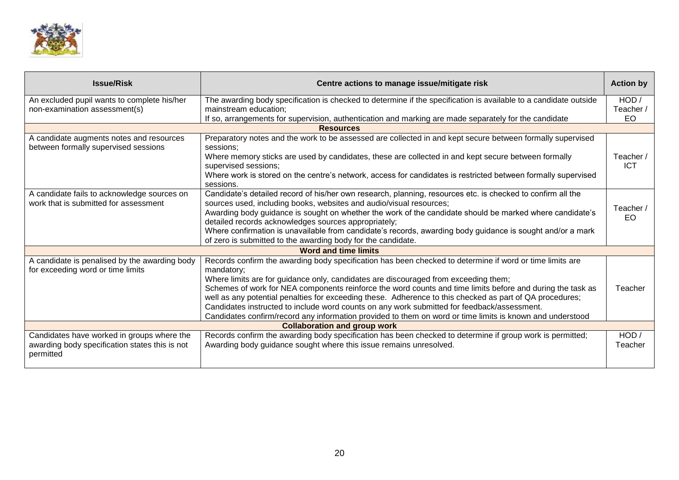

| <b>Issue/Risk</b>                                                                    | Centre actions to manage issue/mitigate risk                                                                                                                                       | <b>Action by</b>        |
|--------------------------------------------------------------------------------------|------------------------------------------------------------------------------------------------------------------------------------------------------------------------------------|-------------------------|
| An excluded pupil wants to complete his/her                                          | The awarding body specification is checked to determine if the specification is available to a candidate outside                                                                   | HOD /                   |
| non-examination assessment(s)                                                        | mainstream education;                                                                                                                                                              | Teacher /               |
|                                                                                      | If so, arrangements for supervision, authentication and marking are made separately for the candidate                                                                              | EO                      |
|                                                                                      | <b>Resources</b>                                                                                                                                                                   |                         |
| A candidate augments notes and resources<br>between formally supervised sessions     | Preparatory notes and the work to be assessed are collected in and kept secure between formally supervised<br>sessions:                                                            |                         |
|                                                                                      | Where memory sticks are used by candidates, these are collected in and kept secure between formally<br>supervised sessions;                                                        | Teacher /<br><b>ICT</b> |
|                                                                                      | Where work is stored on the centre's network, access for candidates is restricted between formally supervised<br>sessions.                                                         |                         |
| A candidate fails to acknowledge sources on<br>work that is submitted for assessment | Candidate's detailed record of his/her own research, planning, resources etc. is checked to confirm all the<br>sources used, including books, websites and audio/visual resources; |                         |
|                                                                                      | Awarding body guidance is sought on whether the work of the candidate should be marked where candidate's                                                                           | Teacher /               |
|                                                                                      | detailed records acknowledges sources appropriately;                                                                                                                               | EO.                     |
|                                                                                      | Where confirmation is unavailable from candidate's records, awarding body guidance is sought and/or a mark                                                                         |                         |
|                                                                                      | of zero is submitted to the awarding body for the candidate.                                                                                                                       |                         |
|                                                                                      | <b>Word and time limits</b>                                                                                                                                                        |                         |
| A candidate is penalised by the awarding body                                        | Records confirm the awarding body specification has been checked to determine if word or time limits are                                                                           |                         |
| for exceeding word or time limits                                                    | mandatory:                                                                                                                                                                         |                         |
|                                                                                      | Where limits are for guidance only, candidates are discouraged from exceeding them;                                                                                                |                         |
|                                                                                      | Schemes of work for NEA components reinforce the word counts and time limits before and during the task as                                                                         | Teacher                 |
|                                                                                      | well as any potential penalties for exceeding these. Adherence to this checked as part of QA procedures;                                                                           |                         |
|                                                                                      | Candidates instructed to include word counts on any work submitted for feedback/assessment.                                                                                        |                         |
|                                                                                      | Candidates confirm/record any information provided to them on word or time limits is known and understood                                                                          |                         |
| Candidates have worked in groups where the                                           | <b>Collaboration and group work</b>                                                                                                                                                | HOD/                    |
| awarding body specification states this is not                                       | Records confirm the awarding body specification has been checked to determine if group work is permitted;<br>Awarding body guidance sought where this issue remains unresolved.    | Teacher                 |
| permitted                                                                            |                                                                                                                                                                                    |                         |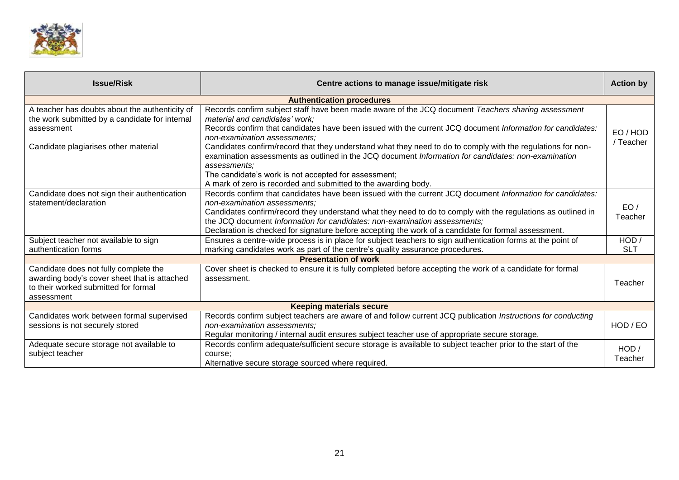

| <b>Issue/Risk</b>                                                                                                                           | Centre actions to manage issue/mitigate risk                                                                                                                                                                                                                                                                                                                                                                                                    | <b>Action by</b>    |  |  |
|---------------------------------------------------------------------------------------------------------------------------------------------|-------------------------------------------------------------------------------------------------------------------------------------------------------------------------------------------------------------------------------------------------------------------------------------------------------------------------------------------------------------------------------------------------------------------------------------------------|---------------------|--|--|
| <b>Authentication procedures</b>                                                                                                            |                                                                                                                                                                                                                                                                                                                                                                                                                                                 |                     |  |  |
| A teacher has doubts about the authenticity of<br>the work submitted by a candidate for internal<br>assessment                              | Records confirm subject staff have been made aware of the JCQ document Teachers sharing assessment<br>material and candidates' work;<br>Records confirm that candidates have been issued with the current JCQ document Information for candidates:<br>non-examination assessments;                                                                                                                                                              | EO/HOD<br>/ Teacher |  |  |
| Candidate plagiarises other material                                                                                                        | Candidates confirm/record that they understand what they need to do to comply with the regulations for non-<br>examination assessments as outlined in the JCQ document Information for candidates: non-examination<br>assessments;<br>The candidate's work is not accepted for assessment;<br>A mark of zero is recorded and submitted to the awarding body.                                                                                    |                     |  |  |
| Candidate does not sign their authentication<br>statement/declaration                                                                       | Records confirm that candidates have been issued with the current JCQ document Information for candidates:<br>non-examination assessments:<br>Candidates confirm/record they understand what they need to do to comply with the regulations as outlined in<br>the JCQ document Information for candidates: non-examination assessments;<br>Declaration is checked for signature before accepting the work of a candidate for formal assessment. | EO/<br>Teacher      |  |  |
| Subject teacher not available to sign<br>authentication forms                                                                               | Ensures a centre-wide process is in place for subject teachers to sign authentication forms at the point of<br>marking candidates work as part of the centre's quality assurance procedures.                                                                                                                                                                                                                                                    | HOD<br><b>SLT</b>   |  |  |
|                                                                                                                                             | <b>Presentation of work</b>                                                                                                                                                                                                                                                                                                                                                                                                                     |                     |  |  |
| Candidate does not fully complete the<br>awarding body's cover sheet that is attached<br>to their worked submitted for formal<br>assessment | Cover sheet is checked to ensure it is fully completed before accepting the work of a candidate for formal<br>assessment.                                                                                                                                                                                                                                                                                                                       | Teacher             |  |  |
|                                                                                                                                             | <b>Keeping materials secure</b>                                                                                                                                                                                                                                                                                                                                                                                                                 |                     |  |  |
| Candidates work between formal supervised<br>sessions is not securely stored                                                                | Records confirm subject teachers are aware of and follow current JCQ publication <i>Instructions for conducting</i><br>non-examination assessments:<br>Regular monitoring / internal audit ensures subject teacher use of appropriate secure storage.                                                                                                                                                                                           | HOD / EO            |  |  |
| Adequate secure storage not available to<br>subject teacher                                                                                 | Records confirm adequate/sufficient secure storage is available to subject teacher prior to the start of the<br>course:<br>Alternative secure storage sourced where required.                                                                                                                                                                                                                                                                   | HOD /<br>Teacher    |  |  |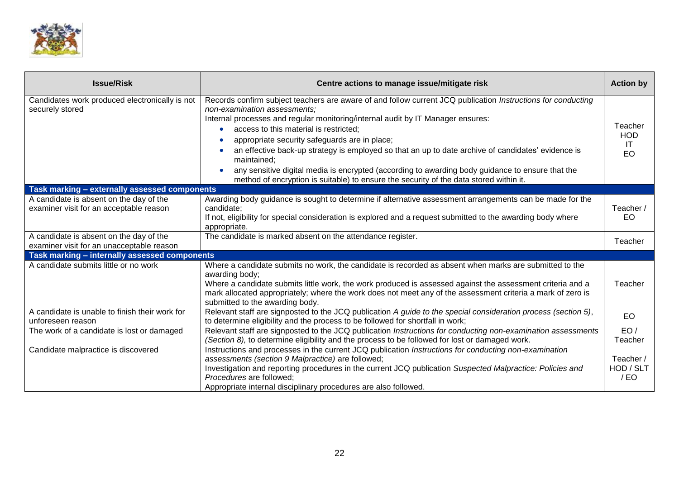

| <b>Issue/Risk</b>                                                                    | Centre actions to manage issue/mitigate risk                                                                                                                                                                                                                                                                                                                                                                                                                                                                                                                                                                                                               | <b>Action by</b>                   |
|--------------------------------------------------------------------------------------|------------------------------------------------------------------------------------------------------------------------------------------------------------------------------------------------------------------------------------------------------------------------------------------------------------------------------------------------------------------------------------------------------------------------------------------------------------------------------------------------------------------------------------------------------------------------------------------------------------------------------------------------------------|------------------------------------|
| Candidates work produced electronically is not<br>securely stored                    | Records confirm subject teachers are aware of and follow current JCQ publication Instructions for conducting<br>non-examination assessments;<br>Internal processes and regular monitoring/internal audit by IT Manager ensures:<br>access to this material is restricted;<br>appropriate security safeguards are in place;<br>$\bullet$<br>an effective back-up strategy is employed so that an up to date archive of candidates' evidence is<br>maintained;<br>any sensitive digital media is encrypted (according to awarding body guidance to ensure that the<br>method of encryption is suitable) to ensure the security of the data stored within it. | Teacher<br><b>HOD</b><br>-IT<br>EO |
| Task marking - externally assessed components                                        |                                                                                                                                                                                                                                                                                                                                                                                                                                                                                                                                                                                                                                                            |                                    |
| A candidate is absent on the day of the<br>examiner visit for an acceptable reason   | Awarding body guidance is sought to determine if alternative assessment arrangements can be made for the<br>candidate;<br>If not, eligibility for special consideration is explored and a request submitted to the awarding body where<br>appropriate.                                                                                                                                                                                                                                                                                                                                                                                                     | Teacher /<br>EO.                   |
| A candidate is absent on the day of the<br>examiner visit for an unacceptable reason | The candidate is marked absent on the attendance register.                                                                                                                                                                                                                                                                                                                                                                                                                                                                                                                                                                                                 | Teacher                            |
| Task marking - internally assessed components                                        |                                                                                                                                                                                                                                                                                                                                                                                                                                                                                                                                                                                                                                                            |                                    |
| A candidate submits little or no work                                                | Where a candidate submits no work, the candidate is recorded as absent when marks are submitted to the<br>awarding body;<br>Where a candidate submits little work, the work produced is assessed against the assessment criteria and a<br>mark allocated appropriately; where the work does not meet any of the assessment criteria a mark of zero is<br>submitted to the awarding body.                                                                                                                                                                                                                                                                   | Teacher                            |
| A candidate is unable to finish their work for<br>unforeseen reason                  | Relevant staff are signposted to the JCQ publication A guide to the special consideration process (section 5),<br>to determine eligibility and the process to be followed for shortfall in work;                                                                                                                                                                                                                                                                                                                                                                                                                                                           | <b>EO</b>                          |
| The work of a candidate is lost or damaged                                           | Relevant staff are signposted to the JCQ publication Instructions for conducting non-examination assessments<br>(Section 8), to determine eligibility and the process to be followed for lost or damaged work.                                                                                                                                                                                                                                                                                                                                                                                                                                             | EO/<br>Teacher                     |
| Candidate malpractice is discovered                                                  | Instructions and processes in the current JCQ publication Instructions for conducting non-examination<br>assessments (section 9 Malpractice) are followed;<br>Investigation and reporting procedures in the current JCQ publication Suspected Malpractice: Policies and<br>Procedures are followed;<br>Appropriate internal disciplinary procedures are also followed.                                                                                                                                                                                                                                                                                     | Teacher /<br>HOD / SLT<br>/EO      |